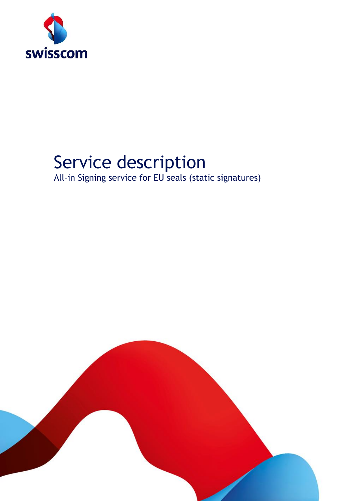

# Service description

All-in Signing service for EU seals (static signatures)

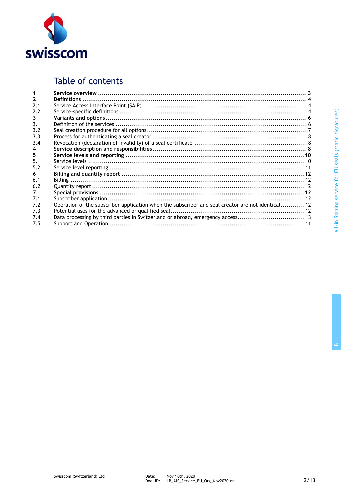

# Table of contents

| $\mathbf{2}$<br>2.2<br>3<br>3.1<br>3.2                                                                          |  |
|-----------------------------------------------------------------------------------------------------------------|--|
| 2.1                                                                                                             |  |
|                                                                                                                 |  |
|                                                                                                                 |  |
|                                                                                                                 |  |
|                                                                                                                 |  |
|                                                                                                                 |  |
| 3.3                                                                                                             |  |
| 3.4                                                                                                             |  |
| 4                                                                                                               |  |
| 5                                                                                                               |  |
| 5.1                                                                                                             |  |
| 5.2                                                                                                             |  |
| 6                                                                                                               |  |
| 6.1                                                                                                             |  |
| 6.2                                                                                                             |  |
| 7                                                                                                               |  |
| 7.1                                                                                                             |  |
| Operation of the subscriber application when the subscriber and seal creator are not identical 12<br>7.2<br>7.3 |  |
| 7.4<br>7.5                                                                                                      |  |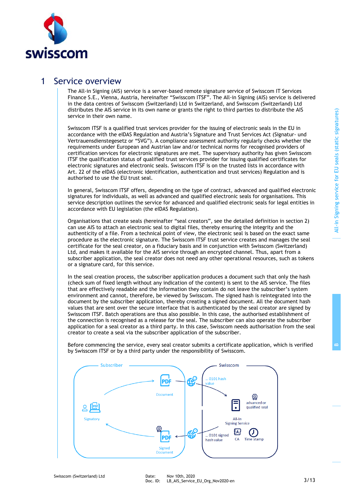

### 1 Service overview

The All-in Signing (AIS) service is a server-based remote signature service of Swisscom IT Services Finance S.E., Vienna, Austria, hereinafter "Swisscom ITSF". The All-in Signing (AIS) service is delivered in the data centres of Swisscom (Switzerland) Ltd in Switzerland, and Swisscom (Switzerland) Ltd distributes the AIS service in its own name or grants the right to third parties to distribute the AIS service in their own name.

Swisscom ITSF is a qualified trust services provider for the issuing of electronic seals in the EU in accordance with the eIDAS Regulation and Austria's Signature and Trust Services Act (Signatur- und Vertrauensdienstegesetz or "SVG"). A compliance assessment authority regularly checks whether the requirements under European and Austrian law and/or technical norms for recognised providers of certification services for electronic signatures are met. The supervisory authority has given Swisscom ITSF the qualification status of qualified trust services provider for issuing qualified certificates for electronic signatures and electronic seals. Swisscom ITSF is on the trusted lists in accordance with Art. 22 of the eIDAS (electronic identification, authentication and trust services) Regulation and is authorised to use the EU trust seal.

In general, Swisscom ITSF offers, depending on the type of contract, advanced and qualified electronic signatures for individuals, as well as advanced and qualified electronic seals for organisations. This service description outlines the service for advanced and qualified electronic seals for legal entities in accordance with EU legislation (the eIDAS Regulation).

Organisations that create seals (hereinafter "seal creators", see the detailed definition in section 2) can use AIS to attach an electronic seal to digital files, thereby ensuring the integrity and the authenticity of a file. From a technical point of view, the electronic seal is based on the exact same procedure as the electronic signature. The Swisscom ITSF trust service creates and manages the seal certificate for the seal creator, on a fiduciary basis and in conjunction with Swisscom (Switzerland) Ltd, and makes it available for the AIS service through an encrypted channel. Thus, apart from a subscriber application, the seal creator does not need any other operational resources, such as tokens or a signature card, for this service.

In the seal creation process, the subscriber application produces a document such that only the hash (check sum of fixed length without any indication of the content) is sent to the AIS service. The files that are effectively readable and the information they contain do not leave the subscriber's system environment and cannot, therefore, be viewed by Swisscom. The signed hash is reintegrated into the document by the subscriber application, thereby creating a signed document. All the document hash values that are sent over the secure interface that is authenticated by the seal creator are signed by Swisscom ITSF. Batch operations are thus also possible. In this case, the authorised establishment of the connection is recognised as a release for the seal. The subscriber can also operate the subscriber application for a seal creator as a third party. In this case, Swisscom needs authorisation from the seal creator to create a seal via the subscriber application of the subscriber.

Before commencing the service, every seal creator submits a certificate application, which is verified by Swisscom ITSF or by a third party under the responsibility of Swisscom.

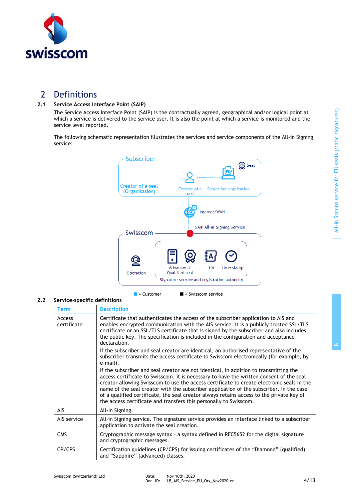

### 2 Definitions

### **2.1 Service Access Interface Point (SAIP)**

The Service Access Interface Point (SAIP) is the contractually agreed, geographical and/or logical point at which a service is delivered to the service user. It is also the point at which a service is monitored and the service level reported.

The following schematic representation illustrates the services and service components of the All-in Signing service:



#### **2.2 Service-specific definitions**

| <b>Term</b>           | <b>Description</b>                                                                                                                                                                                                                                                                                                                                                                                                                                                                                                                        |
|-----------------------|-------------------------------------------------------------------------------------------------------------------------------------------------------------------------------------------------------------------------------------------------------------------------------------------------------------------------------------------------------------------------------------------------------------------------------------------------------------------------------------------------------------------------------------------|
| Access<br>certificate | Certificate that authenticates the access of the subscriber application to AIS and<br>enables encrypted communication with the AIS service. It is a publicly trusted SSL/TLS<br>certificate or an SSL/TLS certificate that is signed by the subscriber and also includes<br>the public key. The specification is included in the configuration and acceptance<br>declaration.                                                                                                                                                             |
|                       | If the subscriber and seal creator are identical, an authorised representative of the<br>subscriber transmits the access certificate to Swisscom electronically (for example, by<br>e-mail).                                                                                                                                                                                                                                                                                                                                              |
|                       | If the subscriber and seal creator are not identical, in addition to transmitting the<br>access certificate to Swisscom, it is necessary to have the written consent of the seal<br>creator allowing Swisscom to use the access certificate to create electronic seals in the<br>name of the seal creator with the subscriber application of the subscriber. In the case<br>of a qualified certificate, the seal creator always retains access to the private key of<br>the access certificate and transfers this personally to Swisscom. |
| AIS                   | All-In Signing.                                                                                                                                                                                                                                                                                                                                                                                                                                                                                                                           |
| AIS service           | All-in Signing service. The signature service provides an interface linked to a subscriber<br>application to activate the seal creation.                                                                                                                                                                                                                                                                                                                                                                                                  |
| <b>CMS</b>            | Cryptographic message syntax - a syntax defined in RFC5652 for the digital signature<br>and cryptographic messages.                                                                                                                                                                                                                                                                                                                                                                                                                       |
| CP/CPS                | Certification guidelines (CP/CPS) for issuing certificates of the "Diamond" (qualified)<br>and "Sapphire" (advanced) classes.                                                                                                                                                                                                                                                                                                                                                                                                             |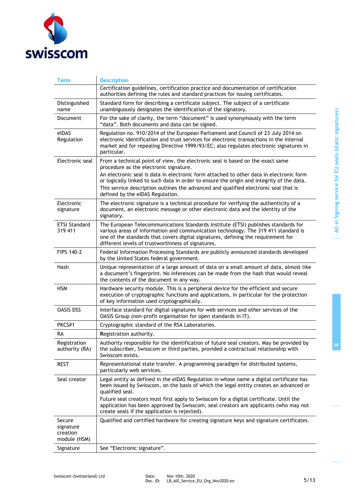

| Term                                            | <b>Description</b>                                                                                                                                                                                                                                                                                                                                                                                                                      |
|-------------------------------------------------|-----------------------------------------------------------------------------------------------------------------------------------------------------------------------------------------------------------------------------------------------------------------------------------------------------------------------------------------------------------------------------------------------------------------------------------------|
|                                                 | Certification guidelines, certification practice and documentation of certification<br>authorities defining the rules and standard practices for issuing certificates.                                                                                                                                                                                                                                                                  |
| Distinguished<br>name                           | Standard form for describing a certificate subject. The subject of a certificate<br>unambiguously designates the identification of the signatory.                                                                                                                                                                                                                                                                                       |
| Document                                        | For the sake of clarity, the term "document" is used synonymously with the term<br>"data". Both documents and data can be signed.                                                                                                                                                                                                                                                                                                       |
| elDAS<br>Regulation                             | Regulation no. 910/2014 of the European Parliament and Council of 23 July 2014 on<br>electronic identification and trust services for electronic transactions in the internal<br>market and for repealing Directive 1999/93/EC; also regulates electronic signatures in<br>particular.                                                                                                                                                  |
| Electronic seal                                 | From a technical point of view, the electronic seal is based on the exact same<br>procedure as the electronic signature.                                                                                                                                                                                                                                                                                                                |
|                                                 | An electronic seal is data in electronic form attached to other data in electronic form<br>or logically linked to such data in order to ensure the origin and integrity of the data.<br>This service description outlines the advanced and qualified electronic seal that is<br>defined by the eIDAS Regulation.                                                                                                                        |
| Electronic<br>signature                         | The electronic signature is a technical procedure for verifying the authenticity of a<br>document, an electronic message or other electronic data and the identity of the<br>signatory.                                                                                                                                                                                                                                                 |
| <b>ETSI Standard</b><br>319 411                 | The European Telecommunications Standards Institute (ETSI) publishes standards for<br>various areas of information and communication technology. The 319 411 standard is<br>one of the standards that covers digital signatures, defining the requirement for<br>different levels of trustworthiness of signatures.                                                                                                                     |
| FIPS 140-2                                      | Federal Information Processing Standards are publicly announced standards developed<br>by the United States federal government.                                                                                                                                                                                                                                                                                                         |
| <b>Hash</b>                                     | Unique representation of a large amount of data on a small amount of data, almost like<br>a document's fingerprint. No inferences can be made from the hash that would reveal<br>the contents of the document in any way.                                                                                                                                                                                                               |
| <b>HSM</b>                                      | Hardware security module. This is a peripheral device for the efficient and secure<br>execution of cryptographic functions and applications, in particular for the protection<br>of key information used cryptographically.                                                                                                                                                                                                             |
| <b>OASIS DSS</b>                                | Interface standard for digital signatures for web services and other services of the<br>OASIS Group (non-profit organisation for open standards in IT).                                                                                                                                                                                                                                                                                 |
| PKCS#1                                          | Cryptographic standard of the RSA Laboratories.                                                                                                                                                                                                                                                                                                                                                                                         |
| RА                                              | Registration authority.                                                                                                                                                                                                                                                                                                                                                                                                                 |
| Registration<br>authority (RA)                  | Authority responsible for the identification of future seal creators. May be provided by<br>the subscriber, Swisscom or third parties, provided a contractual relationship with<br>Swisscom exists.                                                                                                                                                                                                                                     |
| <b>REST</b>                                     | Representational state transfer. A programming paradigm for distributed systems,<br>particularly web services.                                                                                                                                                                                                                                                                                                                          |
| Seal creator                                    | Legal entity as defined in the eIDAS Regulation in whose name a digital certificate has<br>been issued by Swisscom, on the basis of which the legal entity creates an advanced or<br>qualified seal.<br>Future seal creators must first apply to Swisscom for a digital certificate. Until the<br>application has been approved by Swisscom, seal creators are applicants (who may not<br>create seals if the application is rejected). |
| Secure<br>signature<br>creation<br>module (HSM) | Qualified and certified hardware for creating signature keys and signature certificates.                                                                                                                                                                                                                                                                                                                                                |
| Signature                                       | See "Electronic signature".                                                                                                                                                                                                                                                                                                                                                                                                             |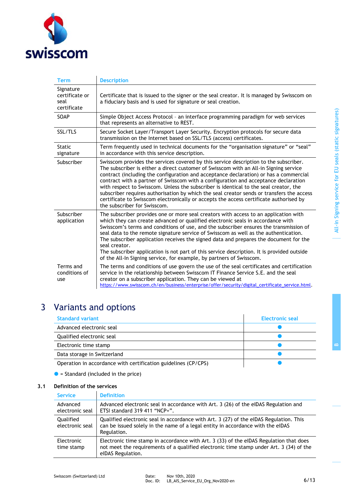

| <b>Term</b>                                        | <b>Description</b>                                                                                                                                                                                                                                                                                                                                                                                                                                                                                                                                                                                                                                                             |
|----------------------------------------------------|--------------------------------------------------------------------------------------------------------------------------------------------------------------------------------------------------------------------------------------------------------------------------------------------------------------------------------------------------------------------------------------------------------------------------------------------------------------------------------------------------------------------------------------------------------------------------------------------------------------------------------------------------------------------------------|
| Signature<br>certificate or<br>seal<br>certificate | Certificate that is issued to the signer or the seal creator. It is managed by Swisscom on<br>a fiduciary basis and is used for signature or seal creation.                                                                                                                                                                                                                                                                                                                                                                                                                                                                                                                    |
| SOAP                                               | Simple Object Access Protocol - an interface programming paradigm for web services<br>that represents an alternative to REST.                                                                                                                                                                                                                                                                                                                                                                                                                                                                                                                                                  |
| SSL/TLS                                            | Secure Socket Layer/Transport Layer Security. Encryption protocols for secure data<br>transmission on the Internet based on SSL/TLS (access) certificates.                                                                                                                                                                                                                                                                                                                                                                                                                                                                                                                     |
| <b>Static</b><br>signature                         | Term frequently used in technical documents for the "organisation signature" or "seal"<br>in accordance with this service description.                                                                                                                                                                                                                                                                                                                                                                                                                                                                                                                                         |
| Subscriber                                         | Swisscom provides the services covered by this service description to the subscriber.<br>The subscriber is either a direct customer of Swisscom with an All-in Signing service<br>contract (including the configuration and acceptance declaration) or has a commercial<br>contract with a partner of Swisscom with a configuration and acceptance declaration<br>with respect to Swisscom. Unless the subscriber is identical to the seal creator, the<br>subscriber requires authorisation by which the seal creator sends or transfers the access<br>certificate to Swisscom electronically or accepts the access certificate authorised by<br>the subscriber for Swisscom. |
| Subscriber<br>application                          | The subscriber provides one or more seal creators with access to an application with<br>which they can create advanced or qualified electronic seals in accordance with<br>Swisscom's terms and conditions of use, and the subscriber ensures the transmission of<br>seal data to the remote signature service of Swisscom as well as the authentication.<br>The subscriber application receives the signed data and prepares the document for the<br>seal creator.<br>The subscriber application is not part of this service description. It is provided outside<br>of the All-In Signing service, for example, by partners of Swisscom.                                      |
| Terms and<br>conditions of<br>use                  | The terms and conditions of use govern the use of the seal certificates and certification<br>service in the relationship between Swisscom IT Finance Service S.E. and the seal<br>creator on a subscriber application. They can be viewed at<br>https://www.swisscom.ch/en/business/enterprise/offer/security/digital_certificate_service.html.                                                                                                                                                                                                                                                                                                                                |

# 3 Variants and options

| <b>Standard variant</b>                                        | Electronic seal |
|----------------------------------------------------------------|-----------------|
| Advanced electronic seal                                       |                 |
| Qualified electronic seal                                      |                 |
| Electronic time stamp                                          |                 |
| Data storage in Switzerland                                    |                 |
| Operation in accordance with certification guidelines (CP/CPS) |                 |

 $\bullet$  = Standard (included in the price)

### **3.1 Definition of the services**

| <b>Service</b>               | <b>Definition</b>                                                                                                                                                                                      |
|------------------------------|--------------------------------------------------------------------------------------------------------------------------------------------------------------------------------------------------------|
| Advanced<br>electronic seal  | Advanced electronic seal in accordance with Art. 3 (26) of the eIDAS Regulation and<br>ETSI standard 319 411 "NCP+".                                                                                   |
| Qualified<br>electronic seal | Qualified electronic seal in accordance with Art. 3 (27) of the eIDAS Regulation. This<br>can be issued solely in the name of a legal entity in accordance with the eIDAS<br>Regulation.               |
| Electronic<br>time stamp     | Electronic time stamp in accordance with Art. 3 (33) of the eIDAS Regulation that does<br>not meet the requirements of a qualified electronic time stamp under Art. 3 (34) of the<br>eIDAS Regulation. |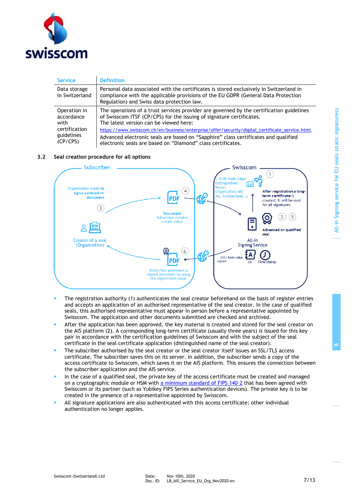

| <b>Service</b>                 | <b>Definition</b>                                                                                                                                                                                                         |
|--------------------------------|---------------------------------------------------------------------------------------------------------------------------------------------------------------------------------------------------------------------------|
| Data storage<br>in Switzerland | Personal data associated with the certificates is stored exclusively in Switzerland in<br>compliance with the applicable provisions of the EU GDPR (General Data Protection<br>Regulation) and Swiss data protection law. |
| Operation in                   | The operations of a trust services provider are governed by the certification guidelines                                                                                                                                  |
| accordance                     | of Swisscom ITSF (CP/CPS) for the issuing of signature certificates.                                                                                                                                                      |
| with                           | The latest version can be viewed here:                                                                                                                                                                                    |
| certification                  | https://www.swisscom.ch/en/business/enterprise/offer/security/digital_certificate_service.html.                                                                                                                           |
| guidelines                     | Advanced electronic seals are based on "Sapphire" class certificates and qualified                                                                                                                                        |
| (CP/CPS)                       | electronic seals are based on "Diamond" class certificates.                                                                                                                                                               |

### **3.2 Seal creation procedure for all options**



- **•** The registration authority (1) authenticates the seal creator beforehand on the basis of register entries and accepts an application of an authorised representative of the seal creator. In the case of qualified seals, this authorised representative must appear in person before a representative appointed by Swisscom. The application and other documents submitted are checked and archived.
- **EXTER 15 After the application has been approved, the key material is created and stored for the seal creator on** the AIS platform (2). A corresponding long-term certificate (usually three years) is issued for this key pair in accordance with the certification guidelines of Swisscom and with the subject of the seal certificate in the seal certificate application (distinguished name of the seal creator).
- The subscriber authorised by the seal creator or the seal creator itself issues an SSL/TLS access certificate. The subscriber saves this on its server. In addition, the subscriber sends a copy of the access certificate to Swisscom, which saves it on the AIS platform. This ensures the connection between the subscriber application and the AIS service.
- In the case of a qualified seal, the private key of the access certificate must be created and managed on a cryptographic module or HSM with [a minimum standard of FIPS 140-2](https://csrc.nist.gov/Projects/Cryptographic-Module-Validation-Program/Validated-Modules/Search) that has been agreed with Swisscom or its partner (such as Yubikey FIPS Series authentication devices). The private key is to be created in the presence of a representative appointed by Swisscom.
- All signature applications are also authenticated with this access certificate; other individual authentication no longer applies.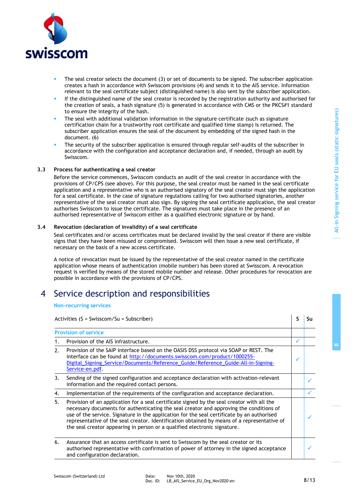

- The seal creator selects the document (3) or set of documents to be signed. The subscriber application creates a hash in accordance with Swisscom provisions (4) and sends it to the AIS service. Information relevant to the seal certificate subject (distinguished name) is also sent by the subscriber application.
- If the distinguished name of the seal creator is recorded by the registration authority and authorised for the creation of seals, a hash signature (5) is generated in accordance with CMS or the PKCS#1 standard to ensure the integrity of the hash.
- The seal with additional validation information in the signature certificate (such as signature certification chain for a trustworthy root certificate and qualified time stamp) is returned. The subscriber application ensures the seal of the document by embedding of the signed hash in the document. (6)
- The security of the subscriber application is ensured through regular self-audits of the subscriber in accordance with the configuration and acceptance declaration and, if needed, through an audit by Swisscom.

### **3.3 Process for authenticating a seal creator**

Before the service commences, Swisscom conducts an audit of the seal creator in accordance with the provisions of CP/CPS (see above). For this purpose, the seal creator must be named in the seal certificate application and a representative who is an authorised signatory of the seal creator must sign the application for a seal certificate. In the case of signature regulations calling for two authorised signatories, another representative of the seal creator must also sign. By signing the seal certificate application, the seal creator authorises Swisscom to issue the certificate. The signatures must take place in the presence of an authorised representative of Swisscom either as a qualified electronic signature or by hand.

### **3.4 Revocation (declaration of invalidity) of a seal certificate**

Seal certificates and/or access certificates must be declared invalid by the seal creator if there are visible signs that they have been misused or compromised. Swisscom will then issue a new seal certificate, if necessary on the basis of a new access certificate.

A notice of revocation must be issued by the representative of the seal creator named in the certificate application whose means of authentication (mobile number) has been stored at Swisscom. A revocation request is verified by means of the stored mobile number and release. Other procedures for revocation are possible in accordance with the provisions of CP/CPS.

### 4 Service description and responsibilities

#### **Non-recurring services**

|    | Activities ( $S = Swisscom/Su = Subscripter$ )                                                                                                                                                                                                                                                                                                                                                                                                                  | S | Su |
|----|-----------------------------------------------------------------------------------------------------------------------------------------------------------------------------------------------------------------------------------------------------------------------------------------------------------------------------------------------------------------------------------------------------------------------------------------------------------------|---|----|
|    | <b>Provision of service</b>                                                                                                                                                                                                                                                                                                                                                                                                                                     |   |    |
| 1. | Provision of the AIS infrastructure.                                                                                                                                                                                                                                                                                                                                                                                                                            | ✓ |    |
| 2. | Provision of the SAIP interface based on the OASIS DSS protocol via SOAP or REST. The<br>interface can be found at http://documents.swisscom.com/product/1000255-<br>Digital_Signing_Service/Documents/Reference_Guide/Reference_Guide-All-in-Signing-<br>Service-en.pdf.                                                                                                                                                                                       |   |    |
| 3. | Sending of the signed configuration and acceptance declaration with activation-relevant<br>information and the required contact persons.                                                                                                                                                                                                                                                                                                                        |   |    |
| 4. | Implementation of the requirements of the configuration and acceptance declaration.                                                                                                                                                                                                                                                                                                                                                                             |   |    |
| 5. | Provision of an application for a seal certificate signed by the seal creator with all the<br>necessary documents for authenticating the seal creator and approving the conditions of<br>use of the service. Signature in the application for the seal certificate by an authorised<br>representative of the seal creator. Identification obtained by means of a representative of<br>the seal creator appearing in person or a qualified electronic signature. |   |    |
| 6. | Assurance that an access certificate is sent to Swisscom by the seal creator or its<br>authorised representative with confirmation of power of attorney in the signed acceptance<br>and configuration declaration.                                                                                                                                                                                                                                              |   |    |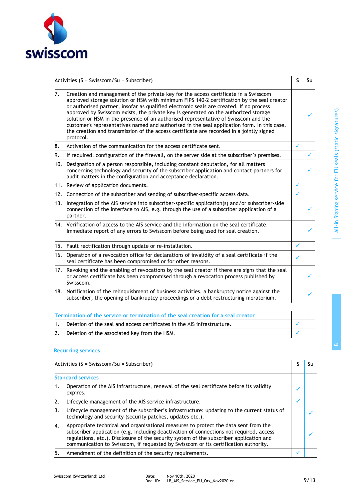

|    | Activities ( $S = Swisscom/Su = Subscripter$ )                                                                                                                                                                                                                                                                                                                                                                                                                                                                                                                                                                                                                     | S            | Su |
|----|--------------------------------------------------------------------------------------------------------------------------------------------------------------------------------------------------------------------------------------------------------------------------------------------------------------------------------------------------------------------------------------------------------------------------------------------------------------------------------------------------------------------------------------------------------------------------------------------------------------------------------------------------------------------|--------------|----|
| 7. | Creation and management of the private key for the access certificate in a Swisscom<br>approved storage solution or HSM with minimum FIPS 140-2 certification by the seal creator<br>or authorised partner, insofar as qualified electronic seals are created. If no process<br>approved by Swisscom exists, the private key is generated on the authorized storage<br>solution or HSM in the presence of an authorised representative of Swisscom and the<br>customer's representatives named and authorised in the seal application form. In this case,<br>the creation and transmission of the access certificate are recorded in a jointly signed<br>protocol. |              |    |
| 8. | Activation of the communication for the access certificate sent.                                                                                                                                                                                                                                                                                                                                                                                                                                                                                                                                                                                                   | ✓            |    |
| 9. | If required, configuration of the firewall, on the server side at the subscriber's premises.                                                                                                                                                                                                                                                                                                                                                                                                                                                                                                                                                                       |              |    |
|    | 10. Designation of a person responsible, including constant deputation, for all matters<br>concerning technology and security of the subscriber application and contact partners for<br>audit matters in the configuration and acceptance declaration.                                                                                                                                                                                                                                                                                                                                                                                                             |              |    |
|    | 11. Review of application documents.                                                                                                                                                                                                                                                                                                                                                                                                                                                                                                                                                                                                                               | ✓            |    |
|    | 12. Connection of the subscriber and sending of subscriber-specific access data.                                                                                                                                                                                                                                                                                                                                                                                                                                                                                                                                                                                   | ✓            |    |
|    | 13. Integration of the AIS service into subscriber-specific application(s) and/or subscriber-side<br>connection of the interface to AIS, e.g. through the use of a subscriber application of a<br>partner.                                                                                                                                                                                                                                                                                                                                                                                                                                                         |              |    |
|    | 14. Verification of access to the AIS service and the information on the seal certificate.<br>Immediate report of any errors to Swisscom before being used for seal creation.                                                                                                                                                                                                                                                                                                                                                                                                                                                                                      |              |    |
|    | 15. Fault rectification through update or re-installation.                                                                                                                                                                                                                                                                                                                                                                                                                                                                                                                                                                                                         | $\checkmark$ |    |
|    | 16. Operation of a revocation office for declarations of invalidity of a seal certificate if the<br>seal certificate has been compromised or for other reasons.                                                                                                                                                                                                                                                                                                                                                                                                                                                                                                    | ✓            |    |
|    | 17. Revoking and the enabling of revocations by the seal creator if there are signs that the seal<br>or access certificate has been compromised through a revocation process published by<br>Swisscom.                                                                                                                                                                                                                                                                                                                                                                                                                                                             |              |    |
|    | 18. Notification of the relinquishment of business activities, a bankruptcy notice against the<br>subscriber, the opening of bankruptcy proceedings or a debt restructuring moratorium.                                                                                                                                                                                                                                                                                                                                                                                                                                                                            |              |    |
|    | Termination of the service or termination of the seal creation for a seal creator                                                                                                                                                                                                                                                                                                                                                                                                                                                                                                                                                                                  |              |    |
| 1. | Deletion of the seal and access certificates in the AIS infrastructure.                                                                                                                                                                                                                                                                                                                                                                                                                                                                                                                                                                                            | ✓            |    |

2. Deletion of the associated key from the HSM.

### **Recurring services**

|    | Activities ( $S = Swisscom/Su = Subscripter$ )                                                                                                                                                                                                                                                                                                                   |  |
|----|------------------------------------------------------------------------------------------------------------------------------------------------------------------------------------------------------------------------------------------------------------------------------------------------------------------------------------------------------------------|--|
|    | <b>Standard services</b>                                                                                                                                                                                                                                                                                                                                         |  |
|    | Operation of the AIS infrastructure, renewal of the seal certificate before its validity<br>expires.                                                                                                                                                                                                                                                             |  |
|    | Lifecycle management of the AIS service infrastructure.                                                                                                                                                                                                                                                                                                          |  |
| 3. | Lifecycle management of the subscriber's infrastructure: updating to the current status of<br>technology and security (security patches, updates etc.).                                                                                                                                                                                                          |  |
| 4. | Appropriate technical and organisational measures to protect the data sent from the<br>subscriber application (e.g. including deactivation of connections not required, access<br>regulations, etc.). Disclosure of the security system of the subscriber application and<br>communication to Swisscom, if requested by Swisscom or its certification authority. |  |
|    | Amendment of the definition of the security requirements.                                                                                                                                                                                                                                                                                                        |  |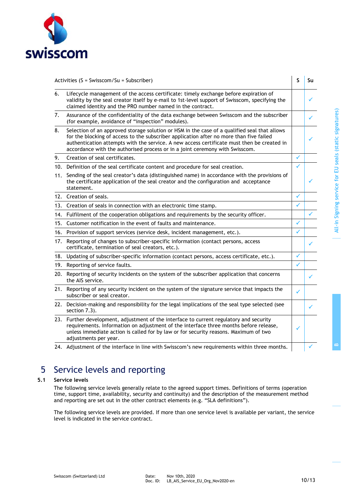

|     | Activities ( $S = Swisscom/Su = Subscripter$ )                                                                                                                                                                                                                                                                                                                        | S | Su |
|-----|-----------------------------------------------------------------------------------------------------------------------------------------------------------------------------------------------------------------------------------------------------------------------------------------------------------------------------------------------------------------------|---|----|
| 6.  | Lifecycle management of the access certificate: timely exchange before expiration of<br>validity by the seal creator itself by e-mail to 1st-level support of Swisscom, specifying the<br>claimed identity and the PRO number named in the contract.                                                                                                                  |   | ✓  |
| 7.  | Assurance of the confidentiality of the data exchange between Swisscom and the subscriber<br>(for example, avoidance of "inspection" modules).                                                                                                                                                                                                                        |   | ✓  |
| 8.  | Selection of an approved storage solution or HSM in the case of a qualified seal that allows<br>for the blocking of access to the subscriber application after no more than five failed<br>authentication attempts with the service. A new access certificate must then be created in<br>accordance with the authorised process or in a joint ceremony with Swisscom. |   |    |
| 9.  | Creation of seal certificates.                                                                                                                                                                                                                                                                                                                                        | ✓ |    |
|     | 10. Definition of the seal certificate content and procedure for seal creation.                                                                                                                                                                                                                                                                                       | ✓ |    |
| 11. | Sending of the seal creator's data (distinguished name) in accordance with the provisions of<br>the certificate application of the seal creator and the configuration and acceptance<br>statement.                                                                                                                                                                    |   |    |
|     | 12. Creation of seals.                                                                                                                                                                                                                                                                                                                                                | ✓ |    |
|     | 13. Creation of seals in connection with an electronic time stamp.                                                                                                                                                                                                                                                                                                    | ✓ |    |
|     | 14. Fulfilment of the cooperation obligations and requirements by the security officer.                                                                                                                                                                                                                                                                               |   |    |
| 15. | Customer notification in the event of faults and maintenance.                                                                                                                                                                                                                                                                                                         | ✓ |    |
|     | 16. Provision of support services (service desk, incident management, etc.).                                                                                                                                                                                                                                                                                          | ✓ |    |
| 17. | Reporting of changes to subscriber-specific information (contact persons, access<br>certificate, termination of seal creators, etc.).                                                                                                                                                                                                                                 |   | ✓  |
| 18. | Updating of subscriber-specific information (contact persons, access certificate, etc.).                                                                                                                                                                                                                                                                              | ✓ |    |
|     | 19. Reporting of service faults.                                                                                                                                                                                                                                                                                                                                      | ✓ |    |
|     | 20. Reporting of security incidents on the system of the subscriber application that concerns<br>the AIS service.                                                                                                                                                                                                                                                     |   |    |
|     | 21. Reporting of any security incident on the system of the signature service that impacts the<br>subscriber or seal creator.                                                                                                                                                                                                                                         | ✓ |    |
|     | 22. Decision-making and responsibility for the legal implications of the seal type selected (see<br>section 7.3).                                                                                                                                                                                                                                                     |   |    |
|     | 23. Further development, adjustment of the interface to current regulatory and security<br>requirements. Information on adjustment of the interface three months before release,<br>unless immediate action is called for by law or for security reasons. Maximum of two<br>adjustments per year.                                                                     | ✓ |    |
|     | 24. Adjustment of the interface in line with Swisscom's new requirements within three months.                                                                                                                                                                                                                                                                         |   |    |

## 5 Service levels and reporting

### **5.1 Service levels**

<span id="page-9-0"></span>The following service levels generally relate to the agreed support times. Definitions of terms (operation time, support time, availability, security and continuity) and the description of the measurement method and reporting are set out in the other contract elements (e.g. "SLA definitions").

The following service levels are provided. If more than one service level is available per variant, the service level is indicated in the service contract.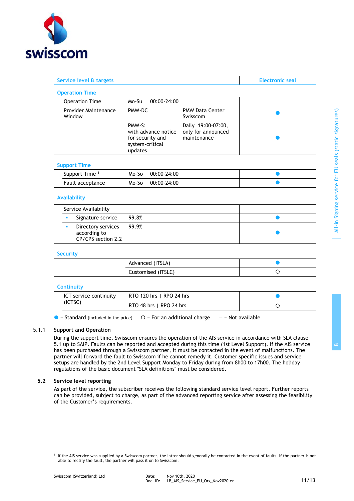

| Service level & targets                                                             |                                                                                                                                            | <b>Electronic seal</b> |
|-------------------------------------------------------------------------------------|--------------------------------------------------------------------------------------------------------------------------------------------|------------------------|
| <b>Operation Time</b>                                                               |                                                                                                                                            |                        |
| <b>Operation Time</b>                                                               | Mo-Su<br>$00:00 - 24:00$                                                                                                                   |                        |
| Provider Maintenance<br>Window                                                      | <b>PMW Data Center</b><br>PMW-DC<br>Swisscom                                                                                               |                        |
|                                                                                     | PMW-S:<br>Daily 19:00-07:00,<br>with advance notice<br>only for announced<br>for security and<br>maintenance<br>system-critical<br>updates |                        |
| <b>Support Time</b>                                                                 |                                                                                                                                            |                        |
| Support Time <sup>1</sup>                                                           | Mo-So<br>00:00-24:00                                                                                                                       |                        |
| Fault acceptance                                                                    | 00:00-24:00<br>Mo-So                                                                                                                       |                        |
| <b>Availability</b>                                                                 |                                                                                                                                            |                        |
| Service Availability<br>×                                                           | 99.8%                                                                                                                                      |                        |
| Signature service<br>Directory services<br>a,<br>according to<br>CP/CPS section 2.2 | 99.9%                                                                                                                                      |                        |
| <b>Security</b>                                                                     |                                                                                                                                            |                        |
|                                                                                     | Advanced (ITSLA)                                                                                                                           | $\bullet$              |
|                                                                                     | Customised (ITSLC)                                                                                                                         | O                      |
| <b>Continuity</b>                                                                   |                                                                                                                                            |                        |
| ICT service continuity                                                              | RTO 120 hrs   RPO 24 hrs                                                                                                                   |                        |
| (ICTSC)                                                                             | RTO 48 hrs   RPO 24 hrs                                                                                                                    | $\circ$                |

### 5.1.1 **Support and Operation**

During the support time, Swisscom ensures the operation of the AIS service in accordance with SLA clause [5.1](#page-9-0) up to SAIP. Faults can be reported and accepted during this time (1st Level Support). If the AIS service has been purchased through a Swisscom partner, it must be contacted in the event of malfunctions. The partner will forward the fault to Swisscom if he cannot remedy it. Customer specific issues and service setups are handled by the 2nd Level Support Monday to Friday during from 8h00 to 17h00. The holiday regulations of the basic document "SLA definitions" must be considered.

#### **5.2 Service level reporting**

As part of the service, the subscriber receives the following standard service level report. Further reports can be provided, subject to charge, as part of the advanced reporting service after assessing the feasibility of the Customer's requirements.

<sup>&</sup>lt;sup>1</sup> If the AIS service was supplied by a Swisscom partner, the latter should generally be contacted in the event of faults. If the partner is not able to rectify the fault, the partner will pass it on to Swisscom.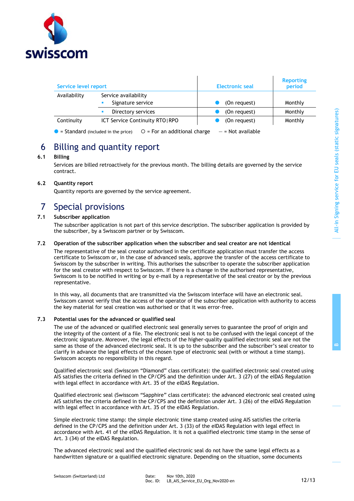

| Service level report |                                                                                | <b>Electronic seal</b> | <b>Reporting</b><br>period |
|----------------------|--------------------------------------------------------------------------------|------------------------|----------------------------|
| Availability         | Service availability<br>Signature service                                      | (On request)           | Monthly                    |
|                      | Directory services<br>٠                                                        | (On request)           | Monthly                    |
| Continuity           | <b>ICT Service Continuity RTO   RPO</b>                                        | (On request)           | Monthly                    |
|                      | $O = For$ an additional charge<br>$\bullet$ = Standard (included in the price) | $-$ = Not available    |                            |

# 6 Billing and quantity report

### **6.1 Billing**

Services are billed retroactively for the previous month. The billing details are governed by the service contract.

### **6.2 Quantity report**

Quantity reports are governed by the service agreement.

### 7 Special provisions

### **7.1 Subscriber application**

The subscriber application is not part of this service description. The subscriber application is provided by the subscriber, by a Swisscom partner or by Swisscom.

### **7.2 Operation of the subscriber application when the subscriber and seal creator are not identical**

The representative of the seal creator authorised in the certificate application must transfer the access certificate to Swisscom or, in the case of advanced seals, approve the transfer of the access certificate to Swisscom by the subscriber in writing. This authorises the subscriber to operate the subscriber application for the seal creator with respect to Swisscom. If there is a change in the authorised representative, Swisscom is to be notified in writing or by e-mail by a representative of the seal creator or by the previous representative.

In this way, all documents that are transmitted via the Swisscom interface will have an electronic seal. Swisscom cannot verify that the access of the operator of the subscriber application with authority to access the key material for seal creation was authorised or that it was error-free.

### **7.3 Potential uses for the advanced or qualified seal**

<span id="page-11-0"></span>The use of the advanced or qualified electronic seal generally serves to guarantee the proof of origin and the integrity of the content of a file. The electronic seal is not to be confused with the legal concept of the electronic signature. Moreover, the legal effects of the higher-quality qualified electronic seal are not the same as those of the advanced electronic seal. It is up to the subscriber and the subscriber's seal creator to clarify in advance the legal effects of the chosen type of electronic seal (with or without a time stamp). Swisscom accepts no responsibility in this regard.

Qualified electronic seal (Swisscom "Diamond" class certificate): the qualified electronic seal created using AIS satisfies the criteria defined in the CP/CPS and the definition under Art. 3 (27) of the eIDAS Regulation with legal effect in accordance with Art. 35 of the eIDAS Regulation.

Qualified electronic seal (Swisscom "Sapphire" class certificate): the advanced electronic seal created using AIS satisfies the criteria defined in the CP/CPS and the definition under Art. 3 (26) of the eIDAS Regulation with legal effect in accordance with Art. 35 of the eIDAS Regulation.

Simple electronic time stamp: the simple electronic time stamp created using AIS satisfies the criteria defined in the CP/CPS and the definition under Art. 3 (33) of the eIDAS Regulation with legal effect in accordance with Art. 41 of the eIDAS Regulation. It is not a qualified electronic time stamp in the sense of Art. 3 (34) of the eIDAS Regulation.

The advanced electronic seal and the qualified electronic seal do not have the same legal effects as a handwritten signature or a qualified electronic signature. Depending on the situation, some documents